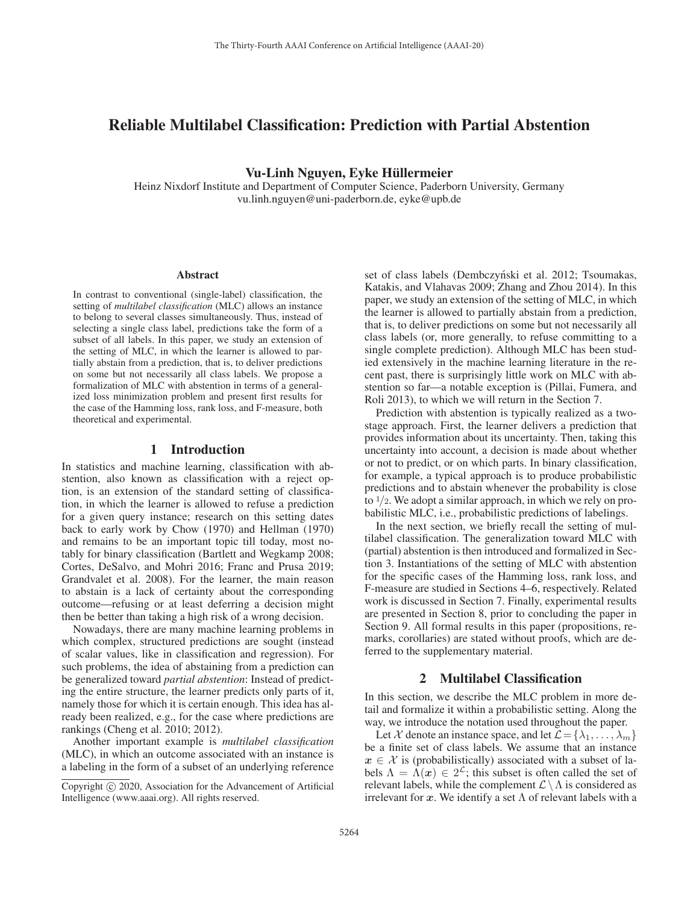# Reliable Multilabel Classification: Prediction with Partial Abstention

Vu-Linh Nguyen, Eyke Hüllermeier

Heinz Nixdorf Institute and Department of Computer Science, Paderborn University, Germany vu.linh.nguyen@uni-paderborn.de, eyke@upb.de

#### Abstract

In contrast to conventional (single-label) classification, the setting of *multilabel classification* (MLC) allows an instance to belong to several classes simultaneously. Thus, instead of selecting a single class label, predictions take the form of a subset of all labels. In this paper, we study an extension of the setting of MLC, in which the learner is allowed to partially abstain from a prediction, that is, to deliver predictions on some but not necessarily all class labels. We propose a formalization of MLC with abstention in terms of a generalized loss minimization problem and present first results for the case of the Hamming loss, rank loss, and F-measure, both theoretical and experimental.

### 1 Introduction

In statistics and machine learning, classification with abstention, also known as classification with a reject option, is an extension of the standard setting of classification, in which the learner is allowed to refuse a prediction for a given query instance; research on this setting dates back to early work by Chow (1970) and Hellman (1970) and remains to be an important topic till today, most notably for binary classification (Bartlett and Wegkamp 2008; Cortes, DeSalvo, and Mohri 2016; Franc and Prusa 2019; Grandvalet et al. 2008). For the learner, the main reason to abstain is a lack of certainty about the corresponding outcome—refusing or at least deferring a decision might then be better than taking a high risk of a wrong decision.

Nowadays, there are many machine learning problems in which complex, structured predictions are sought (instead of scalar values, like in classification and regression). For such problems, the idea of abstaining from a prediction can be generalized toward *partial abstention*: Instead of predicting the entire structure, the learner predicts only parts of it, namely those for which it is certain enough. This idea has already been realized, e.g., for the case where predictions are rankings (Cheng et al. 2010; 2012).

Another important example is *multilabel classification* (MLC), in which an outcome associated with an instance is a labeling in the form of a subset of an underlying reference

set of class labels (Dembczyński et al. 2012; Tsoumakas, Katakis, and Vlahavas 2009; Zhang and Zhou 2014). In this paper, we study an extension of the setting of MLC, in which the learner is allowed to partially abstain from a prediction, that is, to deliver predictions on some but not necessarily all class labels (or, more generally, to refuse committing to a single complete prediction). Although MLC has been studied extensively in the machine learning literature in the recent past, there is surprisingly little work on MLC with abstention so far—a notable exception is (Pillai, Fumera, and Roli 2013), to which we will return in the Section 7.

Prediction with abstention is typically realized as a twostage approach. First, the learner delivers a prediction that provides information about its uncertainty. Then, taking this uncertainty into account, a decision is made about whether or not to predict, or on which parts. In binary classification, for example, a typical approach is to produce probabilistic predictions and to abstain whenever the probability is close to  $1/2$ . We adopt a similar approach, in which we rely on probabilistic MLC, i.e., probabilistic predictions of labelings.

In the next section, we briefly recall the setting of multilabel classification. The generalization toward MLC with (partial) abstention is then introduced and formalized in Section 3. Instantiations of the setting of MLC with abstention for the specific cases of the Hamming loss, rank loss, and F-measure are studied in Sections 4–6, respectively. Related work is discussed in Section 7. Finally, experimental results are presented in Section 8, prior to concluding the paper in Section 9. All formal results in this paper (propositions, remarks, corollaries) are stated without proofs, which are deferred to the supplementary material.

### 2 Multilabel Classification

In this section, we describe the MLC problem in more detail and formalize it within a probabilistic setting. Along the way, we introduce the notation used throughout the paper.

Let X denote an instance space, and let  $\mathcal{L} = \{\lambda_1, \ldots, \lambda_m\}$ be a finite set of class labels. We assume that an instance  $x \in \mathcal{X}$  is (probabilistically) associated with a subset of labels  $\Lambda = \Lambda(x) \in 2^{\mathcal{L}}$ ; this subset is often called the set of relevant labels, while the complement  $\mathcal{L} \setminus \Lambda$  is considered as irrelevant for  $x$ . We identify a set  $\Lambda$  of relevant labels with a

Copyright  $\odot$  2020, Association for the Advancement of Artificial Intelligence (www.aaai.org). All rights reserved.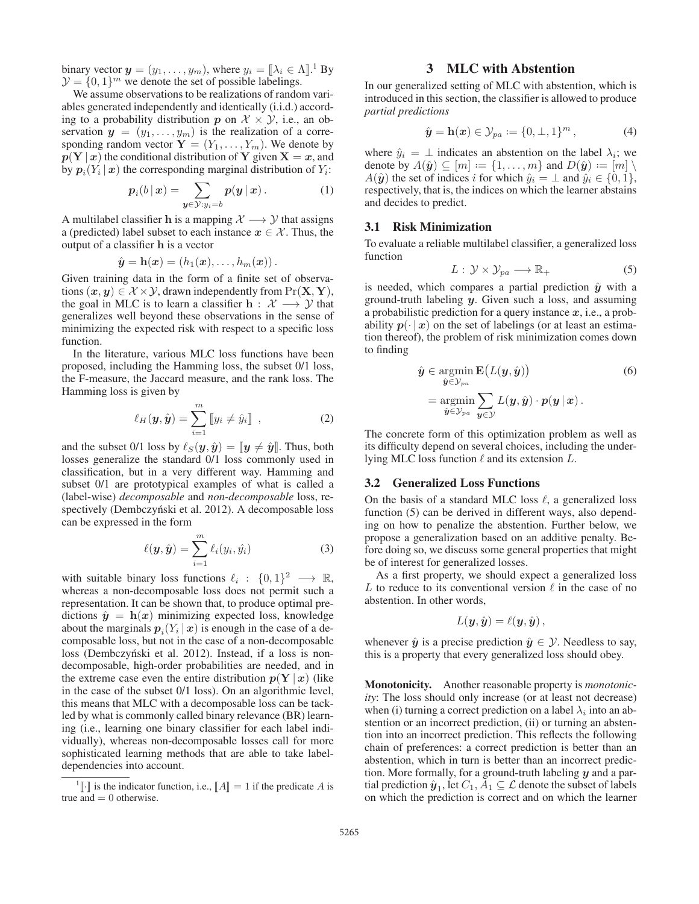binary vector  $y = (y_1, \ldots, y_m)$ , where  $y_i = [\lambda_i \in \Lambda]$ .<sup>1</sup> By  $\mathcal{Y} = \{0, 1\}^m$  we denote the set of possible labelings.

We assume observations to be realizations of random variables generated independently and identically (i.i.d.) according to a probability distribution  $p$  on  $\mathcal{X} \times \mathcal{Y}$ , i.e., an observation  $y = (y_1, \ldots, y_m)$  is the realization of a corresponding random vector  $Y = (Y_1, \ldots, Y_m)$ . We denote by  $p(Y | x)$  the conditional distribution of **Y** given **X** = *x*, and by  $p_i(Y_i | x)$  the corresponding marginal distribution of  $Y_i$ :

$$
p_i(b|x) = \sum_{\mathbf{y} \in \mathcal{Y}: y_i = b} p(\mathbf{y} | \mathbf{x}). \tag{1}
$$

A multilabel classifier **h** is a mapping  $\mathcal{X} \longrightarrow \mathcal{Y}$  that assigns a (predicted) label subset to each instance  $x \in \mathcal{X}$ . Thus, the output of a classifier **h** is a vector

$$
\hat{\boldsymbol{y}} = \mathbf{h}(\boldsymbol{x}) = (h_1(\boldsymbol{x}), \dots, h_m(\boldsymbol{x})).
$$

Given training data in the form of a finite set of observations  $(x, y) \in \mathcal{X} \times \mathcal{Y}$ , drawn independently from  $\Pr(\mathbf{X}, \mathbf{Y})$ , the goal in MLC is to learn a classifier  $h : \mathcal{X} \longrightarrow \mathcal{Y}$  that generalizes well beyond these observations in the sense of minimizing the expected risk with respect to a specific loss function.

In the literature, various MLC loss functions have been proposed, including the Hamming loss, the subset 0/1 loss, the F-measure, the Jaccard measure, and the rank loss. The Hamming loss is given by

$$
\ell_H(\mathbf{y}, \hat{\mathbf{y}}) = \sum_{i=1}^m [y_i \neq \hat{y}_i], \qquad (2)
$$

and the subset 0/1 loss by  $\ell_S(y, \hat{y}) = [\![y \neq \hat{y}]\!]$ . Thus, both losses generalize the standard 0/1 loss commonly used in classification, but in a very different way. Hamming and subset 0/1 are prototypical examples of what is called a (label-wise) *decomposable* and *non-decomposable* loss, respectively (Dembczyński et al. 2012). A decomposable loss can be expressed in the form

$$
\ell(\boldsymbol{y}, \hat{\boldsymbol{y}}) = \sum_{i=1}^{m} \ell_i(y_i, \hat{y}_i)
$$
\n(3)

with suitable binary loss functions  $\ell_i : \{0, 1\}^2 \longrightarrow \mathbb{R}$ , whereas a non-decomposable loss does not permit such a representation. It can be shown that, to produce optimal predictions  $\hat{y} = h(x)$  minimizing expected loss, knowledge about the marginals  $p_i(Y_i | x)$  is enough in the case of a decomposable loss, but not in the case of a non-decomposable loss (Dembczyński et al. 2012). Instead, if a loss is nondecomposable, high-order probabilities are needed, and in the extreme case even the entire distribution  $p(Y | x)$  (like in the case of the subset 0/1 loss). On an algorithmic level, this means that MLC with a decomposable loss can be tackled by what is commonly called binary relevance (BR) learning (i.e., learning one binary classifier for each label individually), whereas non-decomposable losses call for more sophisticated learning methods that are able to take labeldependencies into account.

### 3 MLC with Abstention

In our generalized setting of MLC with abstention, which is introduced in this section, the classifier is allowed to produce *partial predictions*

$$
\hat{\mathbf{y}} = \mathbf{h}(\mathbf{x}) \in \mathcal{Y}_{pa} := \{0, \perp, 1\}^m, \tag{4}
$$

where  $\hat{y}_i = \perp$  indicates an abstention on the label  $\lambda_i$ ; we denote by  $A(\hat{y}) \subseteq [m] := \{1, \ldots, m\}$  and  $D(\hat{y}) := [m] \setminus$  $A(\hat{y})$  the set of indices i for which  $\hat{y}_i = \perp$  and  $\hat{y}_i \in \{0, 1\},$ respectively, that is, the indices on which the learner abstains and decides to predict.

### 3.1 Risk Minimization

To evaluate a reliable multilabel classifier, a generalized loss function

$$
L: \mathcal{Y} \times \mathcal{Y}_{pa} \longrightarrow \mathbb{R}_{+}
$$
 (5)

is needed, which compares a partial prediction  $\hat{y}$  with a ground-truth labeling *y*. Given such a loss, and assuming a probabilistic prediction for a query instance *x*, i.e., a probability  $p(\cdot | x)$  on the set of labelings (or at least an estimation thereof), the problem of risk minimization comes down to finding

$$
\hat{\mathbf{y}} \in \operatorname*{argmin}_{\hat{\mathbf{y}} \in \mathcal{Y}_{pa}} \mathbf{E}\big(L(\mathbf{y}, \hat{\mathbf{y}})\big) \tag{6}
$$
\n
$$
= \operatorname*{argmin}_{\hat{\mathbf{y}} \in \mathcal{Y}_{pa}} \sum_{\mathbf{y} \in \mathcal{Y}} L(\mathbf{y}, \hat{\mathbf{y}}) \cdot p(\mathbf{y} | \mathbf{x}).
$$

The concrete form of this optimization problem as well as its difficulty depend on several choices, including the underlying MLC loss function  $\ell$  and its extension  $L$ .

#### 3.2 Generalized Loss Functions

On the basis of a standard MLC loss  $\ell$ , a generalized loss function (5) can be derived in different ways, also depending on how to penalize the abstention. Further below, we propose a generalization based on an additive penalty. Before doing so, we discuss some general properties that might be of interest for generalized losses.

As a first property, we should expect a generalized loss L to reduce to its conventional version  $\ell$  in the case of no abstention. In other words,

$$
L(\boldsymbol{y},\hat{\boldsymbol{y}})=\ell(\boldsymbol{y},\hat{\boldsymbol{y}}),
$$

whenever  $\hat{y}$  is a precise prediction  $\hat{y} \in \mathcal{Y}$ . Needless to say, this is a property that every generalized loss should obey.

Monotonicity. Another reasonable property is *monotonicity*: The loss should only increase (or at least not decrease) when (i) turning a correct prediction on a label  $\lambda_i$  into an abstention or an incorrect prediction, (ii) or turning an abstention into an incorrect prediction. This reflects the following chain of preferences: a correct prediction is better than an abstention, which in turn is better than an incorrect prediction. More formally, for a ground-truth labeling *y* and a partial prediction  $\hat{\mathbf{y}}_1$ , let  $C_1$ ,  $A_1 \subseteq \mathcal{L}$  denote the subset of labels on which the prediction is correct and on which the learner

<sup>&</sup>lt;sup>1</sup>[ $\cdot$ ] is the indicator function, i.e., [A] = 1 if the predicate A is true and  $= 0$  otherwise.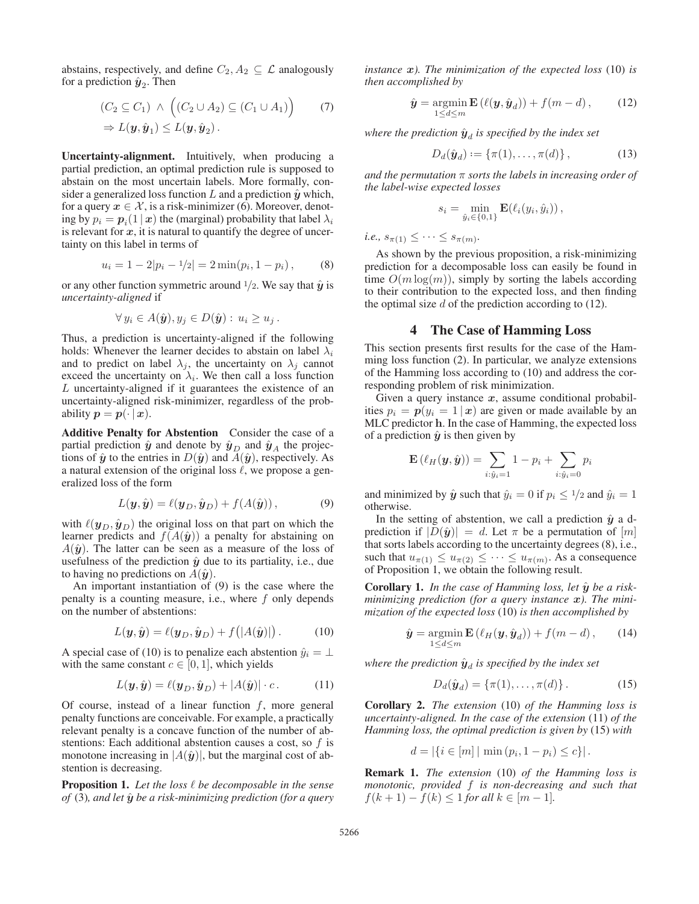abstains, respectively, and define  $C_2$ ,  $A_2 \subseteq \mathcal{L}$  analogously for a prediction  $\hat{y}_2$ . Then

$$
(C_2 \subseteq C_1) \land ((C_2 \cup A_2) \subseteq (C_1 \cup A_1)) \qquad (7)
$$
  
\n
$$
\Rightarrow L(\mathbf{y}, \hat{\mathbf{y}}_1) \le L(\mathbf{y}, \hat{\mathbf{y}}_2).
$$

Uncertainty-alignment. Intuitively, when producing a partial prediction, an optimal prediction rule is supposed to abstain on the most uncertain labels. More formally, consider a generalized loss function  $L$  and a prediction  $\hat{y}$  which, for a query  $x \in \mathcal{X}$ , is a risk-minimizer (6). Moreover, denoting by  $p_i = p_i(1 | x)$  the (marginal) probability that label  $\lambda_i$ is relevant for  $x$ , it is natural to quantify the degree of uncertainty on this label in terms of

$$
u_i = 1 - 2|p_i - 1/2| = 2\min(p_i, 1 - p_i), \quad (8)
$$

or any other function symmetric around  $\frac{1}{2}$ . We say that  $\hat{y}$  is *uncertainty-aligned* if

$$
\forall y_i \in A(\hat{\mathbf{y}}), y_j \in D(\hat{\mathbf{y}}): u_i \ge u_j.
$$

Thus, a prediction is uncertainty-aligned if the following holds: Whenever the learner decides to abstain on label  $\lambda_i$ and to predict on label  $\lambda_j$ , the uncertainty on  $\lambda_j$  cannot exceed the uncertainty on  $\lambda_i$ . We then call a loss function L uncertainty-aligned if it guarantees the existence of an uncertainty-aligned risk-minimizer, regardless of the probability  $p = p(\cdot | x)$ .

Additive Penalty for Abstention Consider the case of a partial prediction  $\hat{y}$  and denote by  $\hat{y}_D$  and  $\hat{y}_A$  the projections of  $\hat{y}$  to the entries in  $D(\hat{y})$  and  $A(\hat{y})$ , respectively. As a natural extension of the original loss  $\ell$ , we propose a generalized loss of the form

$$
L(\mathbf{y}, \hat{\mathbf{y}}) = \ell(\mathbf{y}_D, \hat{\mathbf{y}}_D) + f(A(\hat{\mathbf{y}})), \tag{9}
$$

with  $\ell(\mathbf{y}_D, \hat{\mathbf{y}}_D)$  the original loss on that part on which the learner predicts and  $f(A(\hat{y}))$  a penalty for abstaining on  $A(\hat{y})$ . The latter can be seen as a measure of the loss of usefulness of the prediction  $\hat{y}$  due to its partiality, i.e., due to having no predictions on  $A(\hat{y})$ .

An important instantiation of (9) is the case where the penalty is a counting measure, i.e., where f only depends on the number of abstentions:

$$
L(\mathbf{y}, \hat{\mathbf{y}}) = \ell(\mathbf{y}_D, \hat{\mathbf{y}}_D) + f(|A(\hat{\mathbf{y}})|). \tag{10}
$$

A special case of (10) is to penalize each abstention  $\hat{y}_i = \perp$ with the same constant  $c \in [0, 1]$ , which yields

$$
L(\mathbf{y}, \hat{\mathbf{y}}) = \ell(\mathbf{y}_D, \hat{\mathbf{y}}_D) + |A(\hat{\mathbf{y}})| \cdot c. \tag{11}
$$

Of course, instead of a linear function  $f$ , more general penalty functions are conceivable. For example, a practically relevant penalty is a concave function of the number of abstentions: Each additional abstention causes a cost, so f is monotone increasing in  $|A(\hat{y})|$ , but the marginal cost of abstention is decreasing.

Proposition 1. *Let the loss be decomposable in the sense of* (3)*, and let y*ˆ *be a risk-minimizing prediction (for a query*

*instance x). The minimization of the expected loss* (10) *is then accomplished by*

$$
\hat{\mathbf{y}} = \operatorname*{argmin}_{1 \le d \le m} \mathbf{E} \left( \ell(\mathbf{y}, \hat{\mathbf{y}}_d) \right) + f(m - d), \tag{12}
$$

*where the prediction*  $\hat{y}_d$  *is specified by the index set* 

$$
D_d(\hat{\mathbf{y}}_d) := \{ \pi(1), \dots, \pi(d) \},
$$
 (13)

*and the permutation* π *sorts the labels in increasing order of the label-wise expected losses*

$$
s_i = \min_{\hat{y}_i \in \{0,1\}} \mathbf{E}(\ell_i(y_i, \hat{y}_i)),
$$

*i.e.*,  $s_{\pi(1)} \leq \cdots \leq s_{\pi(m)}$ .

As shown by the previous proposition, a risk-minimizing prediction for a decomposable loss can easily be found in time  $O(m \log(m))$ , simply by sorting the labels according to their contribution to the expected loss, and then finding the optimal size  $d$  of the prediction according to  $(12)$ .

#### 4 The Case of Hamming Loss

This section presents first results for the case of the Hamming loss function (2). In particular, we analyze extensions of the Hamming loss according to (10) and address the corresponding problem of risk minimization.

Given a query instance x, assume conditional probabilities  $p_i = p(y_i = 1 | x)$  are given or made available by an MLC predictor **h**. In the case of Hamming, the expected loss of a prediction  $\hat{y}$  is then given by

$$
\mathbf{E}\left(\ell_H(\mathbf{y},\hat{\mathbf{y}})\right) = \sum_{i:\hat{y}_i=1} 1 - p_i + \sum_{i:\hat{y}_i=0} p_i
$$

and minimized by  $\hat{y}$  such that  $\hat{y}_i = 0$  if  $p_i \leq 1/2$  and  $\hat{y}_i = 1$ otherwise.

In the setting of abstention, we call a prediction  $\hat{y}$  a dprediction if  $|D(\hat{y})| = d$ . Let  $\pi$  be a permutation of  $[m]$ that sorts labels according to the uncertainty degrees (8), i.e., such that  $u_{\pi(1)} \leq u_{\pi(2)} \leq \cdots \leq u_{\pi(m)}$ . As a consequence of Proposition 1, we obtain the following result.

**Corollary 1.** In the case of Hamming loss, let  $\hat{y}$  be a risk*minimizing prediction (for a query instance x). The minimization of the expected loss* (10) *is then accomplished by*

$$
\hat{\mathbf{y}} = \operatorname*{argmin}_{1 \le d \le m} \mathbf{E} \left( \ell_H(\mathbf{y}, \hat{\mathbf{y}}_d) \right) + f(m - d), \qquad (14)
$$

*where the prediction*  $\hat{y}_d$  *is specified by the index set* 

$$
D_d(\hat{\mathbf{y}}_d) = \{\pi(1), \dots, \pi(d)\}.
$$
 (15)

Corollary 2. *The extension* (10) *of the Hamming loss is uncertainty-aligned. In the case of the extension* (11) *of the Hamming loss, the optimal prediction is given by* (15) *with*

$$
d = |\{i \in [m] \mid \min(p_i, 1 - p_i) \le c\}|.
$$

Remark 1. *The extension* (10) *of the Hamming loss is monotonic, provided* f *is non-decreasing and such that*  $f(k + 1) - f(k) \leq 1$  *for all*  $k \in [m - 1]$ *.*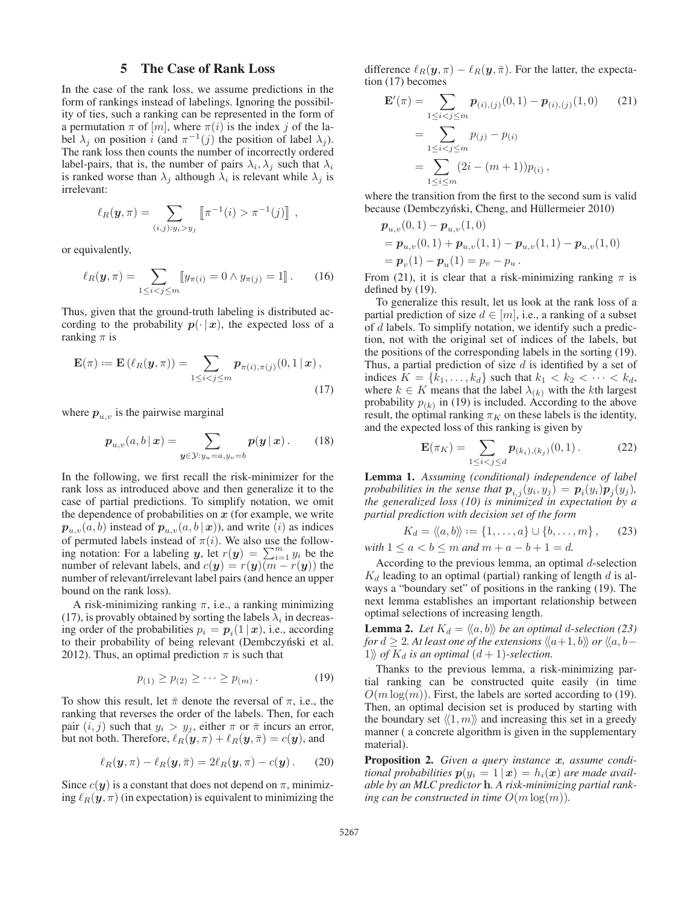#### 5 The Case of Rank Loss

In the case of the rank loss, we assume predictions in the form of rankings instead of labelings. Ignoring the possibility of ties, such a ranking can be represented in the form of a permutation  $\pi$  of  $[m]$ , where  $\pi(i)$  is the index j of the label  $\lambda_j$  on position i (and  $\pi^{-1}(j)$  the position of label  $\lambda_j$ ). The rank loss then counts the number of incorrectly ordered label-pairs, that is, the number of pairs  $\lambda_i$ ,  $\lambda_j$  such that  $\lambda_i$ is ranked worse than  $\lambda_i$  although  $\lambda_i$  is relevant while  $\lambda_i$  is irrelevant:

$$
\ell_R(\mathbf{y}, \pi) = \sum_{(i,j): y_i > y_j} [\![\pi^{-1}(i) > \pi^{-1}(j)]\!] ,
$$

or equivalently,

$$
\ell_R(\mathbf{y}, \pi) = \sum_{1 \le i < j \le m} [y_{\pi(i)} = 0 \land y_{\pi(j)} = 1]. \tag{16}
$$

Thus, given that the ground-truth labeling is distributed according to the probability  $p(\cdot | x)$ , the expected loss of a ranking  $\pi$  is

$$
\mathbf{E}(\pi) := \mathbf{E}\left(\ell_R(\mathbf{y}, \pi)\right) = \sum_{1 \le i < j \le m} p_{\pi(i), \pi(j)}(0, 1 \,|\, \mathbf{x}),\tag{17}
$$

where  $p_{u,v}$  is the pairwise marginal

$$
p_{u,v}(a,b|x) = \sum_{\mathbf{y}\in\mathcal{Y}:y_u=a,y_v=b} p(\mathbf{y}|x).
$$
 (18)

In the following, we first recall the risk-minimizer for the rank loss as introduced above and then generalize it to the case of partial predictions. To simplify notation, we omit the dependence of probabilities on *x* (for example, we write  $p_{u,v}(a, b)$  instead of  $p_{u,v}(a, b | x)$ ), and write (i) as indices of permuted labels instead of  $\pi(i)$ . We also use the following notation: For a labeling *y*, let  $r(y) = \sum_{i=1}^{m} y_i$  be the number of relevant labels, and  $c(\mathbf{y}) = r(\mathbf{y})(m - r(\mathbf{y}))$  the number of relevant/irrelevant label pairs (and hence an upper bound on the rank loss).

A risk-minimizing ranking  $\pi$ , i.e., a ranking minimizing (17), is provably obtained by sorting the labels  $\lambda_i$  in decreasing order of the probabilities  $p_i = p_i(1 | x)$ , i.e., according to their probability of being relevant (Dembczyński et al. 2012). Thus, an optimal prediction  $\pi$  is such that

$$
p_{(1)} \ge p_{(2)} \ge \cdots \ge p_{(m)}.
$$
 (19)

To show this result, let  $\bar{\pi}$  denote the reversal of  $\pi$ , i.e., the ranking that reverses the order of the labels. Then, for each pair  $(i, j)$  such that  $y_i > y_j$ , either  $\pi$  or  $\bar{\pi}$  incurs an error, but not both. Therefore,  $\ell_R(\mathbf{y}, \pi) + \ell_R(\mathbf{y}, \bar{\pi}) = c(\mathbf{y})$ , and

$$
\ell_R(\mathbf{y}, \pi) - \ell_R(\mathbf{y}, \bar{\pi}) = 2\ell_R(\mathbf{y}, \pi) - c(\mathbf{y}). \tag{20}
$$

Since  $c(\mathbf{y})$  is a constant that does not depend on  $\pi$ , minimizing  $\ell_R(\mathbf{y}, \pi)$  (in expectation) is equivalent to minimizing the difference  $\ell_R(\mathbf{y}, \pi) - \ell_R(\mathbf{y}, \bar{\pi})$ . For the latter, the expectation (17) becomes

$$
\mathbf{E}'(\pi) = \sum_{1 \le i < j \le m} p_{(i),(j)}(0,1) - p_{(i),(j)}(1,0) \qquad (21)
$$
\n
$$
= \sum_{1 \le i < j \le m} p_{(j)} - p_{(i)}
$$
\n
$$
= \sum_{1 \le i \le m} (2i - (m+1)) p_{(i)},
$$

where the transition from the first to the second sum is valid because (Dembczyński, Cheng, and Hüllermeier 2010)

$$
p_{u,v}(0,1) - p_{u,v}(1,0)
$$
  
=  $p_{u,v}(0,1) + p_{u,v}(1,1) - p_{u,v}(1,1) - p_{u,v}(1,0)$   
=  $p_v(1) - p_u(1) = p_v - p_u$ .

From (21), it is clear that a risk-minimizing ranking  $\pi$  is defined by (19).

To generalize this result, let us look at the rank loss of a partial prediction of size  $d \in [m]$ , i.e., a ranking of a subset of d labels. To simplify notation, we identify such a prediction, not with the original set of indices of the labels, but the positions of the corresponding labels in the sorting (19). Thus, a partial prediction of size  $d$  is identified by a set of indices  $K = \{k_1, \ldots, k_d\}$  such that  $k_1 < k_2 < \cdots < k_d$ , where  $k \in K$  means that the label  $\lambda_{(k)}$  with the kth largest probability  $p_{(k)}$  in (19) is included. According to the above result, the optimal ranking  $\pi_K$  on these labels is the identity, and the expected loss of this ranking is given by

$$
\mathbf{E}(\pi_K) = \sum_{1 \le i < j \le d} \boldsymbol{p}_{(k_i),(k_j)}(0,1). \tag{22}
$$

Lemma 1. *Assuming (conditional) independence of label probabilities in the sense that*  $p_{i,j}(y_i, y_j) = p_i(y_i)p_j(y_j)$ *, the generalized loss (10) is minimized in expectation by a partial prediction with decision set of the form*

$$
K_d = \langle\!\langle a, b\rangle\!\rangle := \{1, \ldots, a\} \cup \{b, \ldots, m\}, \qquad (23)
$$

*with*  $1 \le a < b \le m$  *and*  $m + a - b + 1 = d$ *.* 

According to the previous lemma, an optimal  $d$ -selection  $K_d$  leading to an optimal (partial) ranking of length  $d$  is always a "boundary set" of positions in the ranking (19). The next lemma establishes an important relationship between optimal selections of increasing length.

**Lemma 2.** Let  $K_d = \langle \langle a, b \rangle \rangle$  be an optimal d-selection (23) for  $d \geq 2$ . At least one of the extensions  $\langle\!\langle a\!+\!1, b \rangle\!\rangle$  or  $\langle\!\langle a, b-\rangle\!\rangle$ 1\*fi* of  $K_d$  *is an optimal*  $(d + 1)$ -selection.

Thanks to the previous lemma, a risk-minimizing partial ranking can be constructed quite easily (in time  $O(m \log(m))$ . First, the labels are sorted according to (19). Then, an optimal decision set is produced by starting with the boundary set  $\langle 1, m \rangle$  and increasing this set in a greedy manner ( a concrete algorithm is given in the supplementary material).

Proposition 2. *Given a query instance x, assume conditional probabilities*  $p(y_i = 1 | x) = h_i(x)$  *are made available by an MLC predictor* **h***. A risk-minimizing partial ranking can be constructed in time*  $O(m \log(m))$ *.*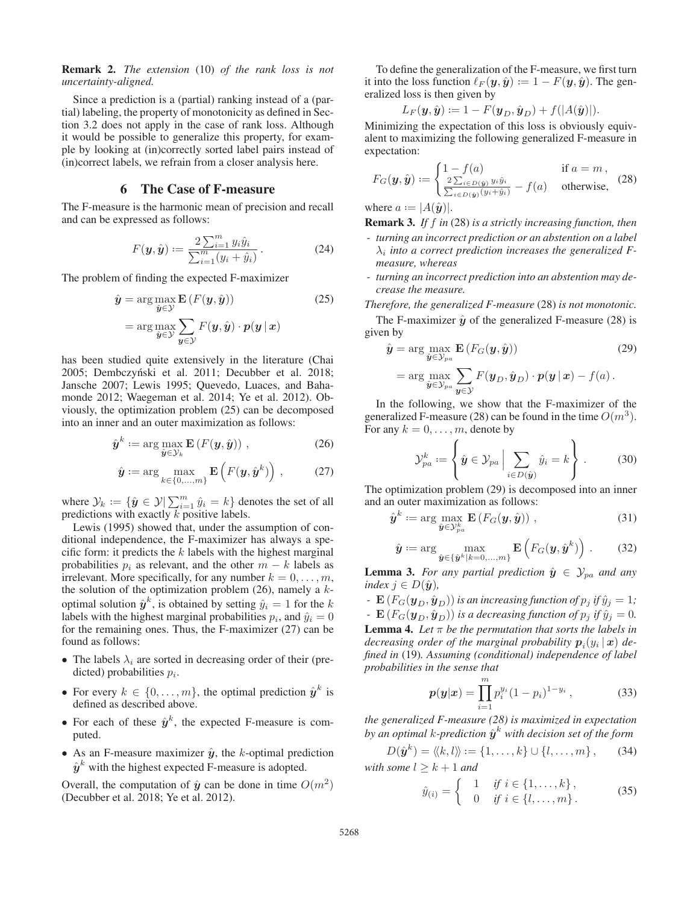Remark 2. *The extension* (10) *of the rank loss is not uncertainty-aligned.*

Since a prediction is a (partial) ranking instead of a (partial) labeling, the property of monotonicity as defined in Section 3.2 does not apply in the case of rank loss. Although it would be possible to generalize this property, for example by looking at (in)correctly sorted label pairs instead of (in)correct labels, we refrain from a closer analysis here.

### 6 The Case of F-measure

The F-measure is the harmonic mean of precision and recall and can be expressed as follows:

$$
F(\mathbf{y}, \hat{\mathbf{y}}) := \frac{2\sum_{i=1}^{m} y_i \hat{y}_i}{\sum_{i=1}^{m} (y_i + \hat{y}_i)}.
$$
 (24)

The problem of finding the expected F-maximizer

$$
\hat{\mathbf{y}} = \arg \max_{\hat{\mathbf{y}} \in \mathcal{Y}} \mathbf{E} \left( F(\mathbf{y}, \hat{\mathbf{y}}) \right) \tag{25}
$$
\n
$$
= \arg \max_{\hat{\mathbf{y}} \in \mathcal{Y}} \sum_{\mathbf{y} \in \mathcal{Y}} F(\mathbf{y}, \hat{\mathbf{y}}) \cdot p(\mathbf{y} | \mathbf{x})
$$

has been studied quite extensively in the literature (Chai 2005; Dembczyński et al. 2011; Decubber et al. 2018; Jansche 2007; Lewis 1995; Quevedo, Luaces, and Bahamonde 2012; Waegeman et al. 2014; Ye et al. 2012). Obviously, the optimization problem (25) can be decomposed into an inner and an outer maximization as follows:

$$
\hat{\boldsymbol{y}}^k := \arg \max_{\hat{\boldsymbol{y}} \in \mathcal{Y}_k} \mathbf{E}\left(F(\boldsymbol{y}, \hat{\boldsymbol{y}})\right),\tag{26}
$$

$$
\hat{\mathbf{y}} := \arg\max_{k \in \{0, \dots, m\}} \mathbf{E}\left(F(\mathbf{y}, \hat{\mathbf{y}}^k)\right), \quad (27)
$$

where  $\mathcal{Y}_k := \{ \hat{\bm{y}} \in \mathcal{Y} | \sum_{i=1}^m \hat{y}_i = k \}$  denotes the set of all predictions with exactly  $k$  positive labels.

Lewis (1995) showed that, under the assumption of conditional independence, the F-maximizer has always a specific form: it predicts the  $k$  labels with the highest marginal probabilities  $p_i$  as relevant, and the other  $m - k$  labels as irrelevant. More specifically, for any number  $k = 0, \ldots, m$ , the solution of the optimization problem  $(26)$ , namely a  $k$ optimal solution  $\hat{\mathbf{y}}^k$ , is obtained by setting  $\hat{y}_i = 1$  for the k labels with the highest marginal probabilities  $p_i$ , and  $\hat{y}_i = 0$ for the remaining ones. Thus, the F-maximizer (27) can be found as follows:

- The labels  $\lambda_i$  are sorted in decreasing order of their (predicted) probabilities  $p_i$ .
- For every  $k \in \{0, \ldots, m\}$ , the optimal prediction  $\hat{\mathbf{y}}^k$  is defined as described above.
- For each of these  $\hat{y}^k$ , the expected F-measure is computed.
- As an F-measure maximizer  $\hat{y}$ , the *k*-optimal prediction  $\hat{y}^k$  with the highest expected F-measure is adopted.

Overall, the computation of  $\hat{y}$  can be done in time  $O(m^2)$ (Decubber et al. 2018; Ye et al. 2012).

To define the generalization of the F-measure, we first turn it into the loss function  $\ell_F(\mathbf{y}, \hat{\mathbf{y}}) := 1 - F(\mathbf{y}, \hat{\mathbf{y}})$ . The generalized loss is then given by

$$
L_F(\mathbf{y}, \hat{\mathbf{y}}) := 1 - F(\mathbf{y}_D, \hat{\mathbf{y}}_D) + f(|A(\hat{\mathbf{y}})|).
$$

Minimizing the expectation of this loss is obviously equivalent to maximizing the following generalized F-measure in expectation:

$$
F_G(\boldsymbol{y}, \hat{\boldsymbol{y}}) := \begin{cases} 1 - f(a) & \text{if } a = m, \\ \frac{2 \sum_{i \in D(\hat{\boldsymbol{y}})} y_i \hat{y}_i}{\sum_{i \in D(\hat{\boldsymbol{y}})} (y_i + \hat{y}_i)} - f(a) & \text{otherwise,} \end{cases} \tag{28}
$$

where  $a := |A(\hat{y})|$ .

Remark 3. *If* f *in* (28) *is a strictly increasing function, then*

- *turning an incorrect prediction or an abstention on a label*  $\lambda_i$  *into a correct prediction increases the generalized Fmeasure, whereas*
- *turning an incorrect prediction into an abstention may decrease the measure.*
- *Therefore, the generalized F-measure* (28) *is not monotonic.* The F-maximizer  $\hat{y}$  of the generalized F-measure (28) is given by

$$
\hat{\mathbf{y}} = \arg \max_{\hat{\mathbf{y}} \in \mathcal{Y}_{pa}} \mathbf{E} \left( F_G(\mathbf{y}, \hat{\mathbf{y}}) \right)
$$
(29)  
= 
$$
\arg \max_{\hat{\mathbf{y}} \in \mathcal{Y}_{pa}} \sum_{\mathbf{y} \in \mathcal{Y}} F(\mathbf{y}_D, \hat{\mathbf{y}}_D) \cdot p(\mathbf{y} | \mathbf{x}) - f(a).
$$

In the following, we show that the F-maximizer of the generalized F-measure (28) can be found in the time  $O(m^3)$ . For any  $k = 0, \ldots, m$ , denote by

$$
\mathcal{Y}_{pa}^{k} := \left\{ \hat{\boldsymbol{y}} \in \mathcal{Y}_{pa} \, \Big| \sum_{i \in D(\hat{\boldsymbol{y}})} \hat{y}_{i} = k \right\} . \tag{30}
$$

The optimization problem (29) is decomposed into an inner and an outer maximization as follows:

$$
\hat{\boldsymbol{y}}^k := \arg \max_{\hat{\boldsymbol{y}} \in \mathcal{Y}_{pa}^k} \mathbf{E}\left(F_G(\boldsymbol{y}, \hat{\boldsymbol{y}})\right),\tag{31}
$$

$$
\hat{\mathbf{y}} := \arg\max_{\hat{\mathbf{y}} \in \{\hat{\mathbf{y}}^k | k = 0,\dots,m\}} \mathbf{E}\left(F_G(\mathbf{y}, \hat{\mathbf{y}}^k)\right). \tag{32}
$$

**Lemma 3.** For any partial prediction  $\hat{y} \in \mathcal{Y}_{pa}$  and any *index*  $j \in D(\hat{y})$ *,* 

*-* **E**  $(F_G(\boldsymbol{y}_D, \hat{\boldsymbol{y}}_D))$  *is an increasing function of*  $p_j$  *if*  $\hat{y}_j = 1$ *; -*  $\mathbf{E} (F_G(\mathbf{y}_D, \hat{\mathbf{y}}_D))$  *is a decreasing function of*  $p_j$  *if*  $\hat{y}_j = 0$ *.* **Lemma 4.** Let  $\pi$  be the permutation that sorts the labels in *decreasing order of the marginal probability*  $p_i(y_i | x)$  *defined in* (19)*. Assuming (conditional) independence of label probabilities in the sense that*

$$
p(y|x) = \prod_{i=1}^{m} p_i^{y_i} (1 - p_i)^{1 - y_i}, \qquad (33)
$$

*the generalized F-measure (28) is maximized in expectation by an optimal k-prediction*  $\hat{y}^k$  *with decision set of the form* 

$$
D(\hat{\boldsymbol{y}}^{k}) = \langle k, l \rangle := \{1, \dots, k\} \cup \{l, \dots, m\}, \qquad (34)
$$
  
with some  $l \geq k + 1$  and

$$
\hat{y}_{(i)} = \begin{cases}\n1 & \text{if } i \in \{1, \dots, k\}, \\
0 & \text{if } i \in \{l, \dots, m\}.\n\end{cases}
$$
\n(35)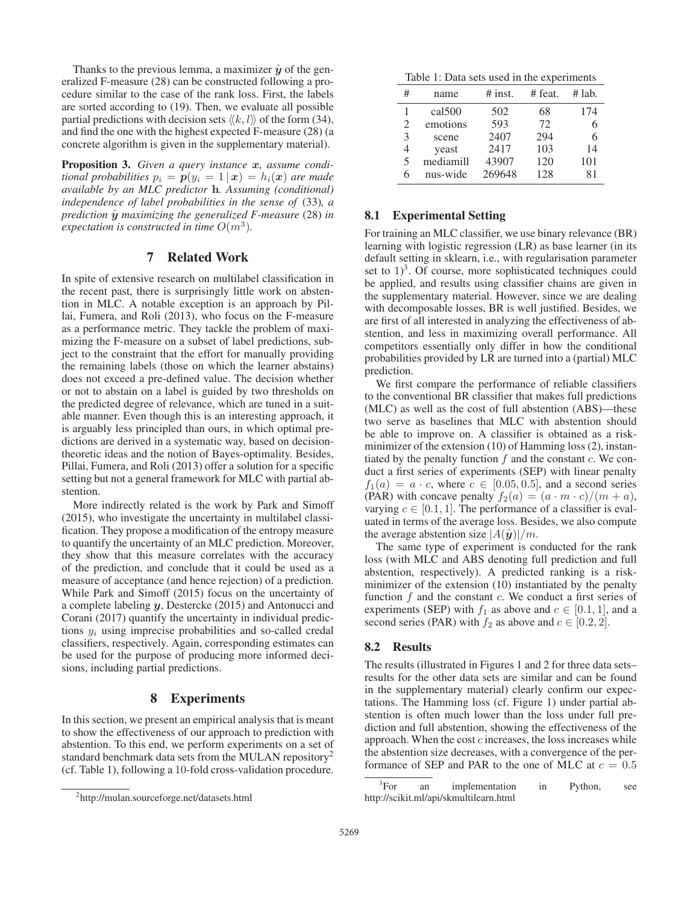Thanks to the previous lemma, a maximizer  $\hat{y}$  of the generalized F-measure (28) can be constructed following a procedure similar to the case of the rank loss. First, the labels are sorted according to (19). Then, we evaluate all possible partial predictions with decision sets  $\langle k, l \rangle$  of the form (34), and find the one with the highest expected F-measure (28) (a concrete algorithm is given in the supplementary material).

Proposition 3. *Given a query instance x, assume conditional probabilities*  $p_i = p(y_i = 1 | \mathbf{x}) = h_i(\mathbf{x})$  *are made available by an MLC predictor* **h***. Assuming (conditional) independence of label probabilities in the sense of* (33)*, a prediction y*ˆ *maximizing the generalized F-measure* (28) *in expectation is constructed in time*  $O(m^3)$ *.* 

# 7 Related Work

In spite of extensive research on multilabel classification in the recent past, there is surprisingly little work on abstention in MLC. A notable exception is an approach by Pillai, Fumera, and Roli (2013), who focus on the F-measure as a performance metric. They tackle the problem of maximizing the F-measure on a subset of label predictions, subject to the constraint that the effort for manually providing the remaining labels (those on which the learner abstains) does not exceed a pre-defined value. The decision whether or not to abstain on a label is guided by two thresholds on the predicted degree of relevance, which are tuned in a suitable manner. Even though this is an interesting approach, it is arguably less principled than ours, in which optimal predictions are derived in a systematic way, based on decisiontheoretic ideas and the notion of Bayes-optimality. Besides, Pillai, Fumera, and Roli (2013) offer a solution for a specific setting but not a general framework for MLC with partial abstention.

More indirectly related is the work by Park and Simoff (2015), who investigate the uncertainty in multilabel classification. They propose a modification of the entropy measure to quantify the uncertainty of an MLC prediction. Moreover, they show that this measure correlates with the accuracy of the prediction, and conclude that it could be used as a measure of acceptance (and hence rejection) of a prediction. While Park and Simoff (2015) focus on the uncertainty of a complete labeling *y*, Destercke (2015) and Antonucci and Corani (2017) quantify the uncertainty in individual predictions  $y_i$  using imprecise probabilities and so-called credal classifiers, respectively. Again, corresponding estimates can be used for the purpose of producing more informed decisions, including partial predictions.

### 8 Experiments

In this section, we present an empirical analysis that is meant to show the effectiveness of our approach to prediction with abstention. To this end, we perform experiments on a set of standard benchmark data sets from the MULAN repository<sup>2</sup> (cf. Table 1), following a 10-fold cross-validation procedure.

Table 1: Data sets used in the experiments

| # | name      | $#$ inst. | # feat. | # lab. |
|---|-----------|-----------|---------|--------|
|   | cal 500   | 502       | 68      | 174    |
| 2 | emotions  | 593       | 72      | 6      |
| 3 | scene     | 2407      | 294     | 6      |
| 4 | yeast     | 2417      | 103     | 14     |
| 5 | mediamill | 43907     | 120     | 101    |
| 6 | nus-wide  | 269648    | 128     | 81     |
|   |           |           |         |        |

### 8.1 Experimental Setting

For training an MLC classifier, we use binary relevance (BR) learning with logistic regression (LR) as base learner (in its default setting in sklearn, i.e., with regularisation parameter set to  $1)^3$ . Of course, more sophisticated techniques could be applied, and results using classifier chains are given in the supplementary material. However, since we are dealing with decomposable losses, BR is well justified. Besides, we are first of all interested in analyzing the effectiveness of abstention, and less in maximizing overall performance. All competitors essentially only differ in how the conditional probabilities provided by LR are turned into a (partial) MLC prediction.

We first compare the performance of reliable classifiers to the conventional BR classifier that makes full predictions (MLC) as well as the cost of full abstention (ABS)—these two serve as baselines that MLC with abstention should be able to improve on. A classifier is obtained as a riskminimizer of the extension (10) of Hamming loss (2), instantiated by the penalty function  $f$  and the constant  $c$ . We conduct a first series of experiments (SEP) with linear penalty  $f_1(a) = a \cdot c$ , where  $c \in [0.05, 0.5]$ , and a second series (PAR) with concave penalty  $f_2(a)=(a \cdot m \cdot c)/(m + a)$ , varying  $c \in [0.1, 1]$ . The performance of a classifier is evaluated in terms of the average loss. Besides, we also compute the average abstention size  $|A(\hat{y})|/m$ .

The same type of experiment is conducted for the rank loss (with MLC and ABS denoting full prediction and full abstention, respectively). A predicted ranking is a riskminimizer of the extension (10) instantiated by the penalty function  $f$  and the constant  $c$ . We conduct a first series of experiments (SEP) with  $f_1$  as above and  $c \in [0.1, 1]$ , and a second series (PAR) with  $f_2$  as above and  $c \in [0.2, 2]$ .

### 8.2 Results

The results (illustrated in Figures 1 and 2 for three data sets– results for the other data sets are similar and can be found in the supplementary material) clearly confirm our expectations. The Hamming loss (cf. Figure 1) under partial abstention is often much lower than the loss under full prediction and full abstention, showing the effectiveness of the approach. When the cost  $c$  increases, the loss increases while the abstention size decreases, with a convergence of the performance of SEP and PAR to the one of MLC at  $c = 0.5$ 

<sup>2</sup> http://mulan.sourceforge.net/datasets.html

 ${}^{3}$ For an implementation in Python, see http://scikit.ml/api/skmultilearn.html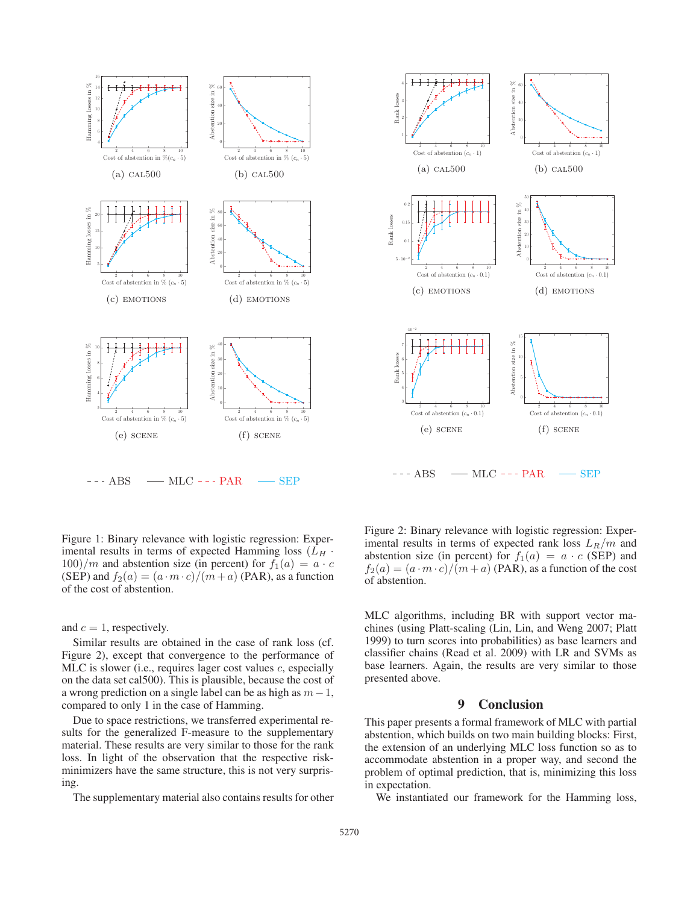



Figure 1: Binary relevance with logistic regression: Experimental results in terms of expected Hamming loss  $(L_H \cdot$  $100$ /m and abstention size (in percent) for  $f_1(a) = a \cdot c$ (SEP) and  $f_2(a)=(a\cdot m\cdot c)/(m+a)$  (PAR), as a function of the cost of abstention.

and  $c = 1$ , respectively.

Similar results are obtained in the case of rank loss (cf. Figure 2), except that convergence to the performance of MLC is slower (i.e., requires lager cost values  $c$ , especially on the data set cal500). This is plausible, because the cost of a wrong prediction on a single label can be as high as  $m-1$ , compared to only 1 in the case of Hamming.

Due to space restrictions, we transferred experimental results for the generalized F-measure to the supplementary material. These results are very similar to those for the rank loss. In light of the observation that the respective riskminimizers have the same structure, this is not very surprising.

The supplementary material also contains results for other

Figure 2: Binary relevance with logistic regression: Experimental results in terms of expected rank loss  $L_R/m$  and abstention size (in percent) for  $f_1(a) = a \cdot c$  (SEP) and  $f_2(a)=(a\cdot m\cdot c)/(m+a)$  (PAR), as a function of the cost of abstention.

MLC algorithms, including BR with support vector machines (using Platt-scaling (Lin, Lin, and Weng 2007; Platt 1999) to turn scores into probabilities) as base learners and classifier chains (Read et al. 2009) with LR and SVMs as base learners. Again, the results are very similar to those presented above.

# 9 Conclusion

This paper presents a formal framework of MLC with partial abstention, which builds on two main building blocks: First, the extension of an underlying MLC loss function so as to accommodate abstention in a proper way, and second the problem of optimal prediction, that is, minimizing this loss in expectation.

We instantiated our framework for the Hamming loss,